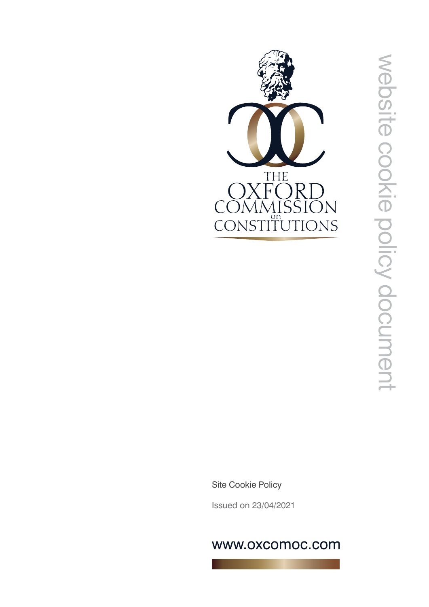

Site Cookie Policy

Issued on 23/04/2021

# www.oxcomoc.com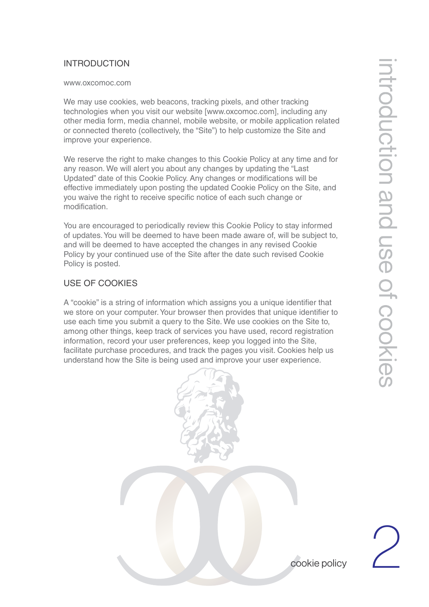### INTRODUCTION

#### www.oxcomoc.com

We may use cookies, web beacons, tracking pixels, and other tracking technologies when you visit our website [www.oxcomoc.com], including any other media form, media channel, mobile website, or mobile application related or connected thereto (collectively, the "Site") to help customize the Site and improve your experience.

We reserve the right to make changes to this Cookie Policy at any time and for any reason. We will alert you about any changes by updating the "Last Updated" date of this Cookie Policy. Any changes or modifications will be effective immediately upon posting the updated Cookie Policy on the Site, and you waive the right to receive specific notice of each such change or modification.

You are encouraged to periodically review this Cookie Policy to stay informed of updates. You will be deemed to have been made aware of, will be subject to, and will be deemed to have accepted the changes in any revised Cookie Policy by your continued use of the Site after the date such revised Cookie Policy is posted.

## USE OF COOKIES

A "cookie" is a string of information which assigns you a unique identifier that we store on your computer. Your browser then provides that unique identifier to use each time you submit a query to the Site. We use cookies on the Site to, among other things, keep track of services you have used, record registration information, record your user preferences, keep you logged into the Site, facilitate purchase procedures, and track the pages you visit. Cookies help us understand how the Site is being used and improve your user experience.



2

cookie policy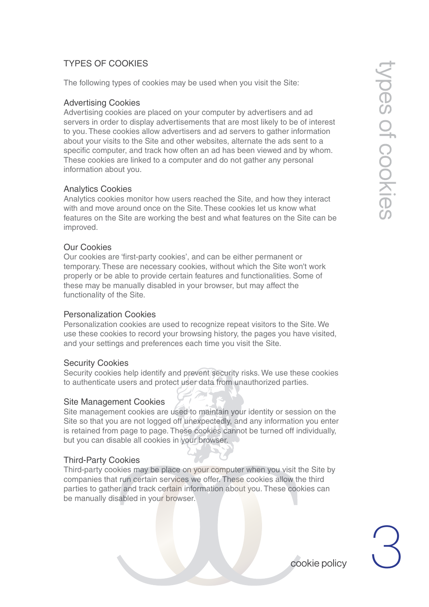# TYPES OF COOKIES

The following types of cookies may be used when you visit the Site:

### Advertising Cookies

Advertising cookies are placed on your computer by advertisers and ad servers in order to display advertisements that are most likely to be of interest to you. These cookies allow advertisers and ad servers to gather information about your visits to the Site and other websites, alternate the ads sent to a specific computer, and track how often an ad has been viewed and by whom. These cookies are linked to a computer and do not gather any personal information about you.

### Analytics Cookies

Analytics cookies monitor how users reached the Site, and how they interact with and move around once on the Site. These cookies let us know what features on the Site are working the best and what features on the Site can be improved.

### Our Cookies

Our cookies are 'first-party cookies', and can be either permanent or temporary. These are necessary cookies, without which the Site won't work properly or be able to provide certain features and functionalities. Some of these may be manually disabled in your browser, but may affect the functionality of the Site.

### Personalization Cookies

Personalization cookies are used to recognize repeat visitors to the Site. We use these cookies to record your browsing history, the pages you have visited, and your settings and preferences each time you visit the Site.

### Security Cookies

Security cookies help identify and prevent security risks. We use these cookies to authenticate users and protect user data from unauthorized parties.

### Site Management Cookies

Site management cookies are used to maintain your identity or session on the Site so that you are not logged off unexpectedly, and any information you enter is retained from page to page. These cookies cannot be turned off individually, but you can disable all cookies in your browser.

### Third-Party Cookies

Third-party cookies may be place on your computer when you visit the Site by companies that run certain services we offer. These cookies allow the third parties to gather and track certain information about you. These cookies can be manually disabled in your browser.

3 cookie policy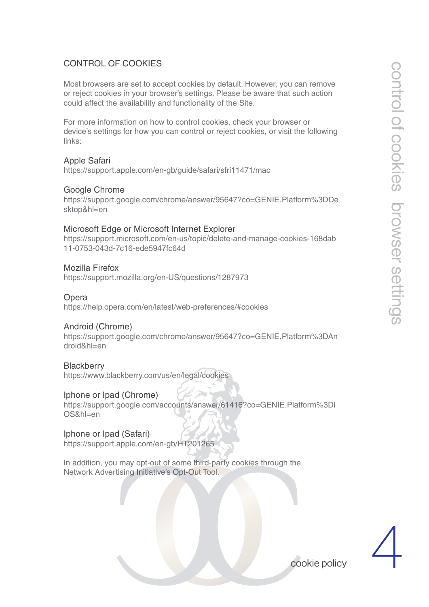### CONTROL OF COOKIES

Most browsers are set to accept cookies by default. However, you can remove or reject cookies in your browser's settings. Please be aware that such action could affect the availability and functionality of the Site.

For more information on how to control cookies, check your browser or device's settings for how you can control or reject cookies, or visit the following links:

Apple Safari https://support.apple.com/en-gb/guide/safari/sfri11471/mac

#### Google Chrome

https://support.google.com/chrome/answer/95647?co=GENIE.Platform%3DDe sktop&hl=en

### Microsoft Edge or Microsoft Internet Explorer

https://support.microsoft.com/en-us/topic/delete-and-manage-cookies-168dab 11-0753-043d-7c16-ede5947fc64d

### Mozilla Firefox

https://support.mozilla.org/en-US/questions/1287973

#### **Opera**

https://help.opera.com/en/latest/web-preferences/#cookies

### Android (Chrome)

https://support.google.com/chrome/answer/95647?co=GENIE.Platform%3DAn droid&hl=en

#### **Blackberry**

https://www.blackberry.com/us/en/legal/cookies

### Iphone or Ipad (Chrome)

https://support.google.com/accounts/answer/61416?co=GENIE.Platform%3Di OS&hl=en

### Iphone or Ipad (Safari)

https://support.apple.com/en-gb/HT201265

In addition, you may opt-out of some third-party cookies through the Network Advertising Initiative's Opt-Out Tool.



cookie policy